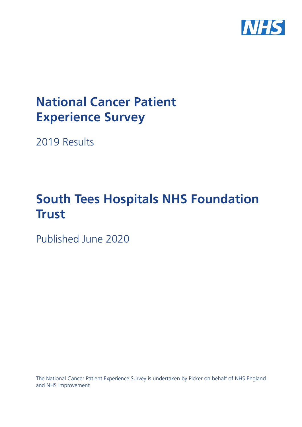

# **National Cancer Patient Experience Survey**

2019 Results

# **South Tees Hospitals NHS Foundation Trust**

Published June 2020

The National Cancer Patient Experience Survey is undertaken by Picker on behalf of NHS England and NHS Improvement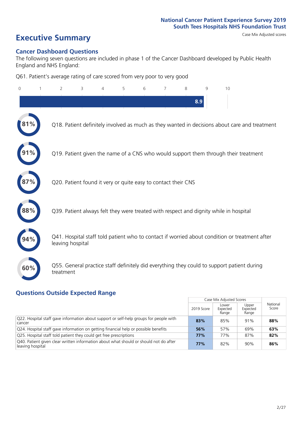# **Executive Summary** Case Mix Adjusted scores

### **Cancer Dashboard Questions**

The following seven questions are included in phase 1 of the Cancer Dashboard developed by Public Health England and NHS England:

Q61. Patient's average rating of care scored from very poor to very good

| $\Omega$   | 2                | 3                                                             | 4 | 5 | 6 | 7 | 8 | 9   | 10                                                                                            |  |
|------------|------------------|---------------------------------------------------------------|---|---|---|---|---|-----|-----------------------------------------------------------------------------------------------|--|
|            |                  |                                                               |   |   |   |   |   | 8.9 |                                                                                               |  |
| 1%         |                  |                                                               |   |   |   |   |   |     | Q18. Patient definitely involved as much as they wanted in decisions about care and treatment |  |
|            |                  |                                                               |   |   |   |   |   |     | Q19. Patient given the name of a CNS who would support them through their treatment           |  |
|            |                  | Q20. Patient found it very or quite easy to contact their CNS |   |   |   |   |   |     |                                                                                               |  |
| $\bf 88\%$ |                  |                                                               |   |   |   |   |   |     | Q39. Patient always felt they were treated with respect and dignity while in hospital         |  |
|            | leaving hospital |                                                               |   |   |   |   |   |     | Q41. Hospital staff told patient who to contact if worried about condition or treatment after |  |
| 60%        | treatment        |                                                               |   |   |   |   |   |     | Q55. General practice staff definitely did everything they could to support patient during    |  |

### **Questions Outside Expected Range**

|                                                                                                           |            | Case Mix Adjusted Scores   |                            |                   |
|-----------------------------------------------------------------------------------------------------------|------------|----------------------------|----------------------------|-------------------|
|                                                                                                           | 2019 Score | Lower<br>Expected<br>Range | Upper<br>Expected<br>Range | National<br>Score |
| Q22. Hospital staff gave information about support or self-help groups for people with<br>cancer          | 83%        | 85%                        | 91%                        | 88%               |
| Q24. Hospital staff gave information on getting financial help or possible benefits                       | 56%        | 57%                        | 69%                        | 63%               |
| Q25. Hospital staff told patient they could get free prescriptions                                        | 77%        | 77%                        | 87%                        | 82%               |
| Q40. Patient given clear written information about what should or should not do after<br>leaving hospital | 77%        | 82%                        | 90%                        | 86%               |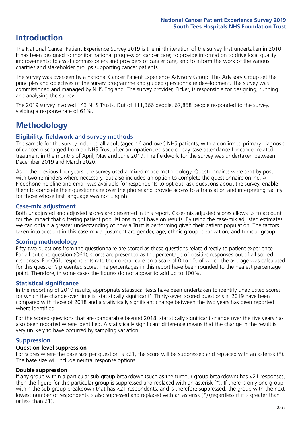# **Introduction**

The National Cancer Patient Experience Survey 2019 is the ninth iteration of the survey first undertaken in 2010. It has been designed to monitor national progress on cancer care; to provide information to drive local quality improvements; to assist commissioners and providers of cancer care; and to inform the work of the various charities and stakeholder groups supporting cancer patients.

The survey was overseen by a national Cancer Patient Experience Advisory Group. This Advisory Group set the principles and objectives of the survey programme and guided questionnaire development. The survey was commissioned and managed by NHS England. The survey provider, Picker, is responsible for designing, running and analysing the survey.

The 2019 survey involved 143 NHS Trusts. Out of 111,366 people, 67,858 people responded to the survey, yielding a response rate of 61%.

# **Methodology**

### **Eligibility, eldwork and survey methods**

The sample for the survey included all adult (aged 16 and over) NHS patients, with a confirmed primary diagnosis of cancer, discharged from an NHS Trust after an inpatient episode or day case attendance for cancer related treatment in the months of April, May and June 2019. The fieldwork for the survey was undertaken between December 2019 and March 2020.

As in the previous four years, the survey used a mixed mode methodology. Questionnaires were sent by post, with two reminders where necessary, but also included an option to complete the questionnaire online. A Freephone helpline and email was available for respondents to opt out, ask questions about the survey, enable them to complete their questionnaire over the phone and provide access to a translation and interpreting facility for those whose first language was not English.

### **Case-mix adjustment**

Both unadjusted and adjusted scores are presented in this report. Case-mix adjusted scores allows us to account for the impact that differing patient populations might have on results. By using the case-mix adjusted estimates we can obtain a greater understanding of how a Trust is performing given their patient population. The factors taken into account in this case-mix adjustment are gender, age, ethnic group, deprivation, and tumour group.

### **Scoring methodology**

Fifty-two questions from the questionnaire are scored as these questions relate directly to patient experience. For all but one question (Q61), scores are presented as the percentage of positive responses out of all scored responses. For Q61, respondents rate their overall care on a scale of 0 to 10, of which the average was calculated for this question's presented score. The percentages in this report have been rounded to the nearest percentage point. Therefore, in some cases the figures do not appear to add up to 100%.

### **Statistical significance**

In the reporting of 2019 results, appropriate statistical tests have been undertaken to identify unadjusted scores for which the change over time is 'statistically significant'. Thirty-seven scored questions in 2019 have been compared with those of 2018 and a statistically significant change between the two years has been reported where identified.

For the scored questions that are comparable beyond 2018, statistically significant change over the five years has also been reported where identified. A statistically significant difference means that the change in the result is very unlikely to have occurred by sampling variation.

### **Suppression**

### **Question-level suppression**

For scores where the base size per question is  $<$ 21, the score will be suppressed and replaced with an asterisk (\*). The base size will include neutral response options.

### **Double suppression**

If any group within a particular sub-group breakdown (such as the tumour group breakdown) has <21 responses, then the figure for this particular group is suppressed and replaced with an asterisk (\*). If there is only one group within the sub-group breakdown that has <21 respondents, and is therefore suppressed, the group with the next lowest number of respondents is also supressed and replaced with an asterisk (\*) (regardless if it is greater than or less than 21).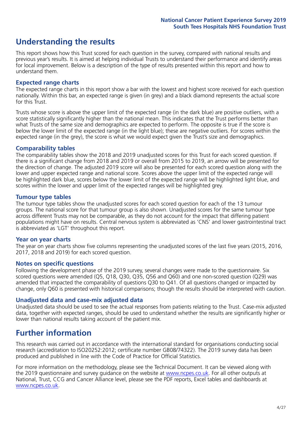# **Understanding the results**

This report shows how this Trust scored for each question in the survey, compared with national results and previous year's results. It is aimed at helping individual Trusts to understand their performance and identify areas for local improvement. Below is a description of the type of results presented within this report and how to understand them.

### **Expected range charts**

The expected range charts in this report show a bar with the lowest and highest score received for each question nationally. Within this bar, an expected range is given (in grey) and a black diamond represents the actual score for this Trust.

Trusts whose score is above the upper limit of the expected range (in the dark blue) are positive outliers, with a score statistically significantly higher than the national mean. This indicates that the Trust performs better than what Trusts of the same size and demographics are expected to perform. The opposite is true if the score is below the lower limit of the expected range (in the light blue); these are negative outliers. For scores within the expected range (in the grey), the score is what we would expect given the Trust's size and demographics.

### **Comparability tables**

The comparability tables show the 2018 and 2019 unadjusted scores for this Trust for each scored question. If there is a significant change from 2018 and 2019 or overall from 2015 to 2019, an arrow will be presented for the direction of change. The adjusted 2019 score will also be presented for each scored question along with the lower and upper expected range and national score. Scores above the upper limit of the expected range will be highlighted dark blue, scores below the lower limit of the expected range will be highlighted light blue, and scores within the lower and upper limit of the expected ranges will be highlighted grey.

### **Tumour type tables**

The tumour type tables show the unadjusted scores for each scored question for each of the 13 tumour groups. The national score for that tumour group is also shown. Unadjusted scores for the same tumour type across different Trusts may not be comparable, as they do not account for the impact that differing patient populations might have on results. Central nervous system is abbreviated as 'CNS' and lower gastrointestinal tract is abbreviated as 'LGT' throughout this report.

### **Year on year charts**

The year on year charts show five columns representing the unadjusted scores of the last five years (2015, 2016, 2017, 2018 and 2019) for each scored question.

### **Notes on specific questions**

Following the development phase of the 2019 survey, several changes were made to the questionnaire. Six scored questions were amended (Q5, Q18, Q30, Q35, Q56 and Q60) and one non-scored question (Q29) was amended that impacted the comparability of questions Q30 to Q41. Of all questions changed or impacted by change, only Q60 is presented with historical comparisons; though the results should be interpreted with caution.

### **Unadjusted data and case-mix adjusted data**

Unadjusted data should be used to see the actual responses from patients relating to the Trust. Case-mix adjusted data, together with expected ranges, should be used to understand whether the results are significantly higher or lower than national results taking account of the patient mix.

# **Further information**

This research was carried out in accordance with the international standard for organisations conducting social research (accreditation to ISO20252:2012; certificate number GB08/74322). The 2019 survey data has been produced and published in line with the Code of Practice for Official Statistics.

For more information on the methodology, please see the Technical Document. It can be viewed along with the 2019 questionnaire and survey quidance on the website at [www.ncpes.co.uk](https://www.ncpes.co.uk/supporting-documents). For all other outputs at National, Trust, CCG and Cancer Alliance level, please see the PDF reports, Excel tables and dashboards at [www.ncpes.co.uk.](https://www.ncpes.co.uk/current-results)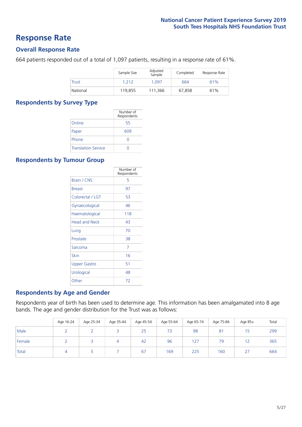### **Response Rate**

### **Overall Response Rate**

664 patients responded out of a total of 1,097 patients, resulting in a response rate of 61%.

|              | Sample Size | Adjusted<br>Sample | Completed | Response Rate |
|--------------|-------------|--------------------|-----------|---------------|
| <b>Trust</b> | 1.212       | 1.097              | 664       | 61%           |
| National     | 119.855     | 111,366            | 67.858    | 61%           |

### **Respondents by Survey Type**

|                            | Number of<br>Respondents |
|----------------------------|--------------------------|
| Online                     | 55                       |
| Paper                      | 609                      |
| Phone                      |                          |
| <b>Translation Service</b> |                          |

### **Respondents by Tumour Group**

|                      | Number of<br>Respondents |
|----------------------|--------------------------|
| Brain / CNS          | 5                        |
| <b>Breast</b>        | 97                       |
| Colorectal / LGT     | 53                       |
| Gynaecological       | 46                       |
| Haematological       | 118                      |
| <b>Head and Neck</b> | 43                       |
| Lung                 | 70                       |
| Prostate             | 38                       |
| Sarcoma              | 7                        |
| Skin                 | 16                       |
| Upper Gastro         | 51                       |
| Urological           | 48                       |
| Other                | 72                       |

### **Respondents by Age and Gender**

Respondents year of birth has been used to determine age. This information has been amalgamated into 8 age bands. The age and gender distribution for the Trust was as follows:

|        | Age 16-24 | Age 25-34 | Age 35-44 | Age 45-54 | Age 55-64 | Age 65-74 | Age 75-84      | Age 85+             | Total |
|--------|-----------|-----------|-----------|-----------|-----------|-----------|----------------|---------------------|-------|
| Male   |           |           |           | 25        | 73        | 98        | 8 <sup>7</sup> | 15                  | 299   |
| Female |           |           |           | 42        | 96        | 127       | 79             |                     | 365   |
| Total  |           |           |           | 67        | 169       | 225       | 160            | דר<br>$\mathcal{L}$ | 664   |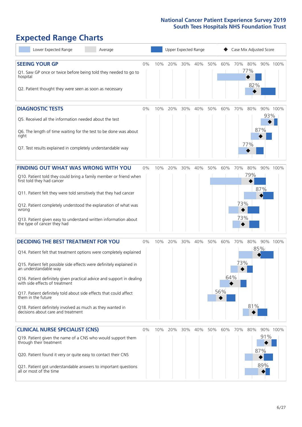# **Expected Range Charts**

| Lower Expected Range<br>Average                                                                                                                                                                                                                                                                                                                                                                                                                                                                                             |    |     | <b>Upper Expected Range</b> |     |     |     |                   | Case Mix Adjusted Score |                   |                   |          |
|-----------------------------------------------------------------------------------------------------------------------------------------------------------------------------------------------------------------------------------------------------------------------------------------------------------------------------------------------------------------------------------------------------------------------------------------------------------------------------------------------------------------------------|----|-----|-----------------------------|-----|-----|-----|-------------------|-------------------------|-------------------|-------------------|----------|
| <b>SEEING YOUR GP</b><br>Q1. Saw GP once or twice before being told they needed to go to<br>hospital<br>Q2. Patient thought they were seen as soon as necessary                                                                                                                                                                                                                                                                                                                                                             | 0% | 10% | 20%                         | 30% | 40% | 50% | 60%               | 70%                     | 80%<br>77%<br>82% |                   | 90% 100% |
| <b>DIAGNOSTIC TESTS</b><br>Q5. Received all the information needed about the test<br>Q6. The length of time waiting for the test to be done was about<br>right<br>Q7. Test results explained in completely understandable way                                                                                                                                                                                                                                                                                               | 0% | 10% | 20%                         | 30% | 40% | 50% | 60%               | 70%                     | 80%<br>77%        | 93%<br>87%        | 90% 100% |
| <b>FINDING OUT WHAT WAS WRONG WITH YOU</b><br>Q10. Patient told they could bring a family member or friend when<br>first told they had cancer<br>Q11. Patient felt they were told sensitively that they had cancer<br>Q12. Patient completely understood the explanation of what was<br>wrong<br>Q13. Patient given easy to understand written information about<br>the type of cancer they had                                                                                                                             | 0% | 10% | 20%                         | 30% | 40% | 50% | 60%               | 70%<br>73%<br>73%       | 80%<br>79%        | 87%               | 90% 100% |
| <b>DECIDING THE BEST TREATMENT FOR YOU</b><br>Q14. Patient felt that treatment options were completely explained<br>Q15. Patient felt possible side effects were definitely explained in<br>an understandable way<br>Q16. Patient definitely given practical advice and support in dealing<br>with side effects of treatment<br>Q17. Patient definitely told about side effects that could affect<br>them in the future<br>Q18. Patient definitely involved as much as they wanted in<br>decisions about care and treatment | 0% | 10% | 20%                         | 30% | 40% | 50% | 60%<br>64%<br>56% | 70%<br>73%              | 80%<br>81%        | 85%               | 90% 100% |
| <b>CLINICAL NURSE SPECIALIST (CNS)</b><br>Q19. Patient given the name of a CNS who would support them<br>through their treatment<br>Q20. Patient found it very or quite easy to contact their CNS<br>Q21. Patient got understandable answers to important questions<br>all or most of the time                                                                                                                                                                                                                              | 0% | 10% | 20%                         | 30% | 40% | 50% | 60%               | 70%                     | 80%               | 91%<br>87%<br>89% | 90% 100% |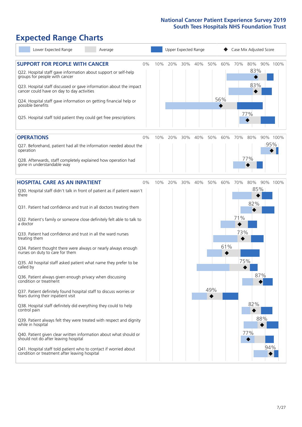# **Expected Range Charts**

| Lower Expected Range<br>Average                                                                                                                                                                                 |    |     |     |     | Upper Expected Range |     |     |     | Case Mix Adjusted Score    |          |
|-----------------------------------------------------------------------------------------------------------------------------------------------------------------------------------------------------------------|----|-----|-----|-----|----------------------|-----|-----|-----|----------------------------|----------|
| <b>SUPPORT FOR PEOPLE WITH CANCER</b><br>Q22. Hospital staff gave information about support or self-help<br>groups for people with cancer<br>Q23. Hospital staff discussed or gave information about the impact | 0% | 10% | 20% | 30% | 40%                  | 50% | 60% | 70% | 80% 90% 100%<br>83%<br>83% |          |
| cancer could have on day to day activities<br>Q24. Hospital staff gave information on getting financial help or<br>possible benefits                                                                            |    |     |     |     |                      |     | 56% |     | 77%                        |          |
| Q25. Hospital staff told patient they could get free prescriptions                                                                                                                                              |    |     |     |     |                      |     |     |     |                            |          |
| <b>OPERATIONS</b>                                                                                                                                                                                               | 0% | 10% | 20% | 30% | 40%                  | 50% | 60% | 70% | 80%                        | 90% 100% |
| Q27. Beforehand, patient had all the information needed about the<br>operation                                                                                                                                  |    |     |     |     |                      |     |     |     | 77%                        | 95%      |
| Q28. Afterwards, staff completely explained how operation had<br>gone in understandable way                                                                                                                     |    |     |     |     |                      |     |     |     |                            |          |
| <b>HOSPITAL CARE AS AN INPATIENT</b>                                                                                                                                                                            | 0% | 10% | 20% | 30% | 40%                  | 50% | 60% | 70% | 80%                        | 90% 100% |
| Q30. Hospital staff didn't talk in front of patient as if patient wasn't<br>there<br>Q31. Patient had confidence and trust in all doctors treating them                                                         |    |     |     |     |                      |     |     |     | 85%<br>82%                 |          |
| Q32. Patient's family or someone close definitely felt able to talk to<br>a doctor                                                                                                                              |    |     |     |     |                      |     |     | 71% |                            |          |
| Q33. Patient had confidence and trust in all the ward nurses<br>treating them                                                                                                                                   |    |     |     |     |                      |     |     | 73% |                            |          |
| Q34. Patient thought there were always or nearly always enough<br>nurses on duty to care for them                                                                                                               |    |     |     |     |                      |     | 61% |     |                            |          |
| Q35. All hospital staff asked patient what name they prefer to be<br>called by                                                                                                                                  |    |     |     |     |                      |     |     | 75% |                            |          |
| Q36. Patient always given enough privacy when discussing<br>condition or treatment                                                                                                                              |    |     |     |     |                      | 49% |     |     | 87%                        |          |
| Q37. Patient definitely found hospital staff to discuss worries or<br>fears during their inpatient visit                                                                                                        |    |     |     |     |                      |     |     |     |                            |          |
| Q38. Hospital staff definitely did everything they could to help<br>control pain                                                                                                                                |    |     |     |     |                      |     |     |     | 82%                        |          |
| Q39. Patient always felt they were treated with respect and dignity<br>while in hospital                                                                                                                        |    |     |     |     |                      |     |     |     | 88%                        |          |
| Q40. Patient given clear written information about what should or<br>should not do after leaving hospital                                                                                                       |    |     |     |     |                      |     |     |     | 77%                        |          |
| Q41. Hospital staff told patient who to contact if worried about<br>condition or treatment after leaving hospital                                                                                               |    |     |     |     |                      |     |     |     |                            | 94%      |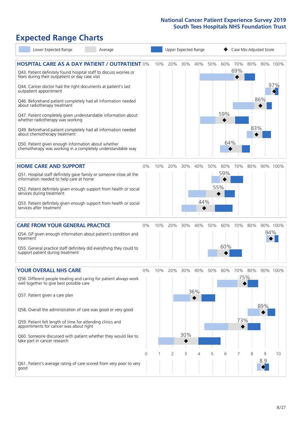## **Expected Range Charts**

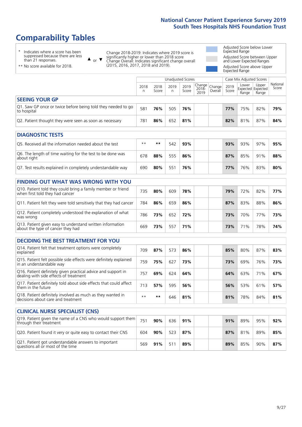# **Comparability Tables**

\* Indicates where a score has been suppressed because there are less than 21 responses.

\*\* No score available for 2018.

 $\triangle$  or  $\nabla$ 

Change 2018-2019: Indicates where 2019 score is significantly higher or lower than 2018 score Change Overall: Indicates significant change overall (2015, 2016, 2017, 2018 and 2019).

Adjusted Score below Lower Expected Range Adjusted Score between Upper and Lower Expected Ranges Adjusted Score above Upper Expected Range

|                                                                                                                                                                                                                                                                                                                                                     |           |               | Unadjusted Scores |               |                                                    |         |               |                                     | Case Mix Adjusted Scores |                      |  |
|-----------------------------------------------------------------------------------------------------------------------------------------------------------------------------------------------------------------------------------------------------------------------------------------------------------------------------------------------------|-----------|---------------|-------------------|---------------|----------------------------------------------------|---------|---------------|-------------------------------------|--------------------------|----------------------|--|
|                                                                                                                                                                                                                                                                                                                                                     | 2018<br>n | 2018<br>Score | 2019<br>n         | 2019<br>Score | $\sqrt{(\text{Change})^2}$ Change<br>2018-<br>2019 | Overall | 2019<br>Score | Lower<br>Expected Expected<br>Range | Upper<br>Range           | National<br>Score    |  |
| <b>SEEING YOUR GP</b>                                                                                                                                                                                                                                                                                                                               |           |               |                   |               |                                                    |         |               |                                     |                          |                      |  |
| Q1. Saw GP once or twice before being told they needed to go<br>to hospital                                                                                                                                                                                                                                                                         | 581       | 76%           | 505               | 76%           |                                                    |         | 77%           | 75%                                 | 82%                      | 79%                  |  |
| Q2. Patient thought they were seen as soon as necessary                                                                                                                                                                                                                                                                                             | 781       | 86%           | 652               | 81%           |                                                    |         | 82%           | 81%                                 | 87%                      | 84%                  |  |
| <b>DIAGNOSTIC TESTS</b>                                                                                                                                                                                                                                                                                                                             |           |               |                   |               |                                                    |         |               |                                     |                          |                      |  |
| $\overline{a}$ , $\overline{b}$ , $\overline{b}$ , $\overline{c}$ , $\overline{c}$ , $\overline{c}$ , $\overline{c}$ , $\overline{c}$ , $\overline{c}$ , $\overline{c}$ , $\overline{c}$ , $\overline{c}$ , $\overline{c}$ , $\overline{c}$ , $\overline{c}$ , $\overline{c}$ , $\overline{c}$ , $\overline{c}$ , $\overline{c}$ , $\overline{c}$ , | الملد ملد | المقدر مقدر   | F A               | $\sim$        |                                                    |         | $\sim$        | $\sim$                              | $\sim$ $\sim$ $\sim$     | $\sim$ $\sim$ $\sim$ |  |

| O5. Received all the information needed about the test                    | $***$ | **  | 542 | 93% |  | 93% | 93% | 97% | 95% |
|---------------------------------------------------------------------------|-------|-----|-----|-----|--|-----|-----|-----|-----|
| Q6. The length of time waiting for the test to be done was<br>about right | 678   | 88% | 555 | 86% |  | 87% | 85% | 91% | 88% |
| Q7. Test results explained in completely understandable way               | 690   | 80% | 551 | 76% |  | 77% | 76% | 83% | 80% |

| <b>FINDING OUT WHAT WAS WRONG WITH YOU</b>                                                      |     |     |     |     |  |     |     |     |     |
|-------------------------------------------------------------------------------------------------|-----|-----|-----|-----|--|-----|-----|-----|-----|
| Q10. Patient told they could bring a family member or friend<br>when first told they had cancer | 735 | 80% | 609 | 78% |  | 79% | 72% | 82% | 77% |
| Q11. Patient felt they were told sensitively that they had cancer                               | 784 | 86% | 659 | 86% |  | 87% | 83% | 88% | 86% |
| Q12. Patient completely understood the explanation of what<br>was wrong                         | 786 | 73% | 652 | 72% |  | 73% | 70% | 77% | 73% |
| Q13. Patient given easy to understand written information<br>about the type of cancer they had  | 669 | 73% | 557 | 71% |  | 73% | 71% | 78% | 74% |

| <b>DECIDING THE BEST TREATMENT FOR YOU</b>                                                              |      |     |     |     |  |     |     |     |     |
|---------------------------------------------------------------------------------------------------------|------|-----|-----|-----|--|-----|-----|-----|-----|
| Q14. Patient felt that treatment options were completely<br>explained                                   | 709  | 87% | 573 | 86% |  | 85% | 80% | 87% | 83% |
| Q15. Patient felt possible side effects were definitely explained<br>in an understandable way           | 759  | 75% | 627 | 73% |  | 73% | 69% | 76% | 73% |
| Q16. Patient definitely given practical advice and support in<br>dealing with side effects of treatment | 757  | 69% | 624 | 64% |  | 64% | 63% | 71% | 67% |
| Q17. Patient definitely told about side effects that could affect<br>them in the future                 | 713  | 57% | 595 | 56% |  | 56% | 53% | 61% | 57% |
| Q18. Patient definitely involved as much as they wanted in<br>decisions about care and treatment        | $**$ | **  | 646 | 81% |  | 81% | 78% | 84% | 81% |

| <b>CLINICAL NURSE SPECIALIST (CNS)</b>                                                    |     |     |     |     |     |     |     |     |
|-------------------------------------------------------------------------------------------|-----|-----|-----|-----|-----|-----|-----|-----|
| Q19. Patient given the name of a CNS who would support them<br>through their treatment    | 751 | 90% | 636 | 91% | 91% | 89% | 95% | 92% |
| Q20. Patient found it very or quite easy to contact their CNS                             | 604 | 90% | 523 | 87% | 87% | 81% | 89% | 85% |
| Q21. Patient got understandable answers to important<br>questions all or most of the time | 569 | 91% | 511 | 89% | 89% | 85% | 90% | 87% |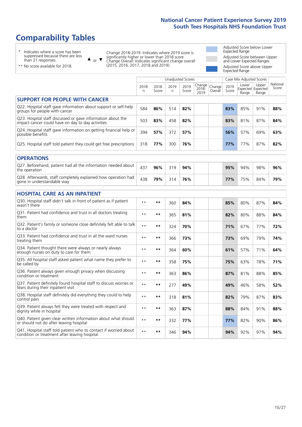# **Comparability Tables**

\* Indicates where a score has been suppressed because there are less than 21 responses.

\*\* No score available for 2018.

 $\triangle$  or  $\nabla$ 

Change 2018-2019: Indicates where 2019 score is significantly higher or lower than 2018 score Change Overall: Indicates significant change overall (2015, 2016, 2017, 2018 and 2019).

Adjusted Score below Lower Expected Range Adjusted Score between Upper and Lower Expected Ranges Adjusted Score above Upper Expected Range

|                                                                                                                   |           |               |           | <b>Unadjusted Scores</b> |                         |                   |               | Case Mix Adjusted Scores            |                |                   |
|-------------------------------------------------------------------------------------------------------------------|-----------|---------------|-----------|--------------------------|-------------------------|-------------------|---------------|-------------------------------------|----------------|-------------------|
|                                                                                                                   | 2018<br>n | 2018<br>Score | 2019<br>n | 2019<br>Score            | Change<br>2018-<br>2019 | Change<br>Overall | 2019<br>Score | Lower<br>Expected Expected<br>Range | Upper<br>Range | National<br>Score |
| <b>SUPPORT FOR PEOPLE WITH CANCER</b>                                                                             |           |               |           |                          |                         |                   |               |                                     |                |                   |
| Q22. Hospital staff gave information about support or self-help<br>groups for people with cancer                  | 584       | 86%           | 514       | 82%                      |                         |                   | 83%           | 85%                                 | 91%            | 88%               |
| Q23. Hospital staff discussed or gave information about the<br>impact cancer could have on day to day activities  | 503       | 83%           | 458       | 82%                      |                         |                   | 83%           | 81%                                 | 87%            | 84%               |
| Q24. Hospital staff gave information on getting financial help or<br>possible benefits                            | 394       | 57%           | 372       | 57%                      |                         |                   | 56%           | 57%                                 | 69%            | 63%               |
| Q25. Hospital staff told patient they could get free prescriptions                                                | 318       | 77%           | 300       | 76%                      |                         |                   | 77%           | 77%                                 | 87%            | 82%               |
| <b>OPERATIONS</b>                                                                                                 |           |               |           |                          |                         |                   |               |                                     |                |                   |
| Q27. Beforehand, patient had all the information needed about<br>the operation                                    | 437       | 96%           | 319       | 94%                      |                         |                   | 95%           | 94%                                 | 98%            | 96%               |
| Q28. Afterwards, staff completely explained how operation had<br>gone in understandable way                       | 438       | 79%           | 314       | 76%                      |                         |                   | 77%           | 75%                                 | 84%            | 79%               |
| <b>HOSPITAL CARE AS AN INPATIENT</b>                                                                              |           |               |           |                          |                         |                   |               |                                     |                |                   |
| Q30. Hospital staff didn't talk in front of patient as if patient<br>wasn't there                                 | $* *$     | $***$         | 360       | 84%                      |                         |                   | 85%           | 80%                                 | 87%            | 84%               |
| Q31. Patient had confidence and trust in all doctors treating<br>them                                             | $**$      | $***$         | 365       | 81%                      |                         |                   | 82%           | 80%                                 | 88%            | 84%               |
| Q32. Patient's family or someone close definitely felt able to talk<br>to a doctor                                | $* *$     | $***$         | 324       | 70%                      |                         |                   | 71%           | 67%                                 | 77%            | 72%               |
| O33. Patient had confidence and trust in all the ward nurses<br>treating them                                     | $**$      | $***$         | 366       | 73%                      |                         |                   | 73%           | 69%                                 | 79%            | 74%               |
| Q34. Patient thought there were always or nearly always<br>enough nurses on duty to care for them                 | $**$      | $***$         | 364       | 60%                      |                         |                   | 61%           | 57%                                 | 71%            | 64%               |
| Q35. All hospital staff asked patient what name they prefer to<br>be called by                                    | $* *$     | $***$         | 358       | 75%                      |                         |                   | 75%           | 63%                                 | 78%            | 71%               |
| Q36. Patient always given enough privacy when discussing<br>condition or treatment                                | $* *$     | $**$          | 363       | 86%                      |                         |                   | 87%           | 81%                                 | 88%            | 85%               |
| Q37. Patient definitely found hospital staff to discuss worries or<br>fears during their inpatient visit          | $* *$     | $***$         | 277       | 49%                      |                         |                   | 49%           | 46%                                 | 58%            | 52%               |
| Q38. Hospital staff definitely did everything they could to help<br>control pain                                  | $* *$     | $***$         | 318       | 81%                      |                         |                   | 82%           | 79%                                 | 87%            | 83%               |
| Q39. Patient always felt they were treated with respect and<br>dignity while in hospital                          | $* *$     | $***$         | 363       | 87%                      |                         |                   | 88%           | 84%                                 | 91%            | 88%               |
| Q40. Patient given clear written information about what should<br>or should not do after leaving hospital         | $* *$     | $***$         | 332       | 77%                      |                         |                   | 77%           | 82%                                 | 90%            | 86%               |
| Q41. Hospital staff told patient who to contact if worried about<br>condition or treatment after leaving hospital | $**$      | $***$         | 346       | 94%                      |                         |                   | 94%           | 92%                                 | 97%            | 94%               |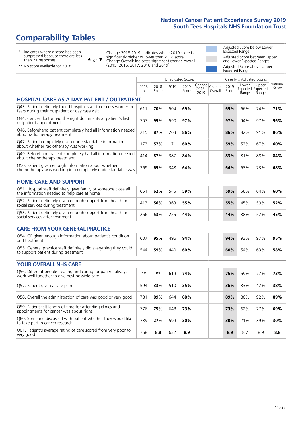# **Comparability Tables**

\* Indicates where a score has been suppressed because there are less than 21 responses.

\*\* No score available for 2018.

to take part in cancer research

or  $\blacktriangledown$  $\blacktriangle$ 

Change 2018-2019: Indicates where 2019 score is significantly higher or lower than 2018 score Change Overall: Indicates significant change overall (2015, 2016, 2017, 2018 and 2019).

Adjusted Score below Lower Expected Range Adjusted Score between Upper and Lower Expected Ranges Adjusted Score above Upper Expected Range

|                                                                                                                       |              |               | <b>Unadjusted Scores</b> |               |                         |                   |               | Case Mix Adjusted Scores |                                     |                   |
|-----------------------------------------------------------------------------------------------------------------------|--------------|---------------|--------------------------|---------------|-------------------------|-------------------|---------------|--------------------------|-------------------------------------|-------------------|
|                                                                                                                       | 2018<br>n.   | 2018<br>Score | 2019<br>n.               | 2019<br>Score | Change<br>2018-<br>2019 | Change<br>Overall | 2019<br>Score | Lower<br>Range           | Upper<br>Expected Expected<br>Range | National<br>Score |
| <b>HOSPITAL CARE AS A DAY PATIENT / OUTPATIENT</b>                                                                    |              |               |                          |               |                         |                   |               |                          |                                     |                   |
| Q43. Patient definitely found hospital staff to discuss worries or<br>fears during their outpatient or day case visit | 611          | 70%           | 504                      | 69%           |                         |                   | 69%           | 66%                      | 74%                                 | 71%               |
| Q44. Cancer doctor had the right documents at patient's last<br>outpatient appointment                                | 707          | 95%           | 590                      | 97%           |                         |                   | 97%           | 94%                      | 97%                                 | 96%               |
| Q46. Beforehand patient completely had all information needed<br>about radiotherapy treatment                         | 215          | 87%           | 203                      | 86%           |                         |                   | 86%           | 82%                      | 91%                                 | 86%               |
| Q47. Patient completely given understandable information<br>about whether radiotherapy was working                    | 172          | 57%           | 171                      | 60%           |                         |                   | 59%           | 52%                      | 67%                                 | 60%               |
| Q49. Beforehand patient completely had all information needed<br>about chemotherapy treatment                         | 414          | 87%           | 387                      | 84%           |                         |                   | 83%           | 81%                      | 88%                                 | 84%               |
| Q50. Patient given enough information about whether<br>chemotherapy was working in a completely understandable way    | 369          | 65%           | 348                      | 64%           |                         |                   | 64%           | 63%                      | 73%                                 | 68%               |
| <b>HOME CARE AND SUPPORT</b>                                                                                          |              |               |                          |               |                         |                   |               |                          |                                     |                   |
| Q51. Hospital staff definitely gave family or someone close all<br>the information needed to help care at home        | 651          | 62%           | 545                      | 59%           |                         |                   | 59%           | 56%                      | 64%                                 | 60%               |
| Q52. Patient definitely given enough support from health or<br>social services during treatment                       | 413          | 56%           | 363                      | 55%           |                         |                   | 55%           | 45%                      | 59%                                 | 52%               |
| Q53. Patient definitely given enough support from health or<br>social services after treatment                        | 266          | 53%           | 225                      | 44%           |                         |                   | 44%           | 38%                      | 52%                                 | 45%               |
| <b>CARE FROM YOUR GENERAL PRACTICE</b>                                                                                |              |               |                          |               |                         |                   |               |                          |                                     |                   |
| Q54. GP given enough information about patient's condition<br>and treatment                                           | 607          | 95%           | 496                      | 94%           |                         |                   | 94%           | 93%                      | 97%                                 | 95%               |
| Q55. General practice staff definitely did everything they could<br>to support patient during treatment               | 544          | 59%           | 440                      | 60%           |                         |                   | 60%           | 54%                      | 63%                                 | 58%               |
|                                                                                                                       |              |               |                          |               |                         |                   |               |                          |                                     |                   |
| <b>YOUR OVERALL NHS CARE</b>                                                                                          |              |               |                          |               |                         |                   |               |                          |                                     |                   |
| Q56. Different people treating and caring for patient always<br>work well together to give best possible care         | $\star\star$ | **            | 619                      | 74%           |                         |                   | 75%           | 69%                      | 77%                                 | 73%               |
| Q57. Patient given a care plan                                                                                        | 594          | 33%           | 510                      | 35%           |                         |                   | 36%           | 33%                      | 42%                                 | 38%               |
| Q58. Overall the administration of care was good or very good                                                         | 781          | 89%           | 644                      | 88%           |                         |                   | 89%           | 86%                      | 92%                                 | 89%               |
| Q59. Patient felt length of time for attending clinics and<br>appointments for cancer was about right                 | 776          | 75%           | 648                      | 73%           |                         |                   | 73%           | 62%                      | 77%                                 | 69%               |
| Q60. Someone discussed with patient whether they would like<br>to take part in cancer recearch                        | 739          | 27%           | 599                      | 30%           |                         |                   | 30%           | 21%                      | 39%                                 | 30%               |

Q61. Patient's average rating of care scored from very poor to very good <sup>768</sup> **8.8** <sup>632</sup> **8.9 8.9** 8.7 8.9 **8.8**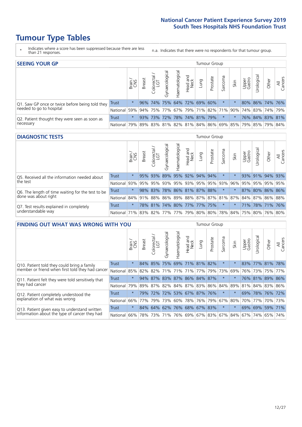# **Tumour Type Tables**

- \* Indicates where a score has been suppressed because there are less than 21 responses.
- n.a. Indicates that there were no respondents for that tumour group.

| <b>SEEING YOUR GP</b>                           |            |               |               |                   |                |                |                                     |     | Tumour Group |         |         |                 |                                  |                                                     |                |
|-------------------------------------------------|------------|---------------|---------------|-------------------|----------------|----------------|-------------------------------------|-----|--------------|---------|---------|-----------------|----------------------------------|-----------------------------------------------------|----------------|
|                                                 |            | Brain.<br>CNS | <b>Breast</b> | olorectal.<br>LGT | Gynaecological | Haematological | Head and<br>Neck                    | pun | Prostate     | Sarcoma | Skin    | Upper<br>Gastro | $\overline{\sigma}$<br>Jrologica | Other                                               | All<br>Cancers |
| Q1. Saw GP once or twice before being told they | Trust      | $\star$       |               |                   |                |                | 96% 74% 75% 64% 72% 69% 60%         |     |              | $\star$ |         |                 |                                  | 80% 86% 74% 76%                                     |                |
| needed to go to hospital                        | National   | 59%           |               |                   |                |                | 94% 75% 77% 67% 79% 71% 82% 71% 90% |     |              |         |         |                 |                                  | 74%   83%   74%   79%                               |                |
| Q2. Patient thought they were seen as soon as   | Trust      | $\star$       |               | 93% 73%           |                |                | 72% 78% 74% 81% 79%                 |     |              | $\star$ | $\star$ |                 |                                  | 76% 84% 83% 81%                                     |                |
| necessary                                       | National I | 79%           |               |                   |                |                |                                     |     |              |         |         |                 |                                  | 89% 83% 81% 82% 81% 84% 86% 69% 85% 79% 85% 79% 84% |                |

### **DIAGNOSTIC TESTS** Tumour Group

|                                                   |                                                                  | Brain   | <b>Breast</b> | Colorectal<br>LGT | $\overline{\sigma}$<br>Gynaecologic | Haematological      | Head and<br>Neck | Lung | Prostate                | Sarcoma | Skin | Upper<br>Gastro | Irological      | Other | All<br>Cancers |
|---------------------------------------------------|------------------------------------------------------------------|---------|---------------|-------------------|-------------------------------------|---------------------|------------------|------|-------------------------|---------|------|-----------------|-----------------|-------|----------------|
| Q5. Received all the information needed about     | <b>Trust</b>                                                     | $\star$ |               | 95% 93%           |                                     | 89% 95% 92% 94%     |                  |      | 94%                     |         |      |                 | 93% 91% 94% 93% |       |                |
| the test                                          | National                                                         | 93%     | 95%           | 95%               |                                     |                     |                  |      | 93% 95% 93% 95% 95% 93% |         | 96%  | 95%             | 95% 95% 95%     |       |                |
| Q6. The length of time waiting for the test to be | Trust                                                            | $\star$ |               | 98% 83%           |                                     |                     |                  |      | 78% 86% 81% 87% 88%     | $\star$ |      |                 | 87% 80% 86% 86% |       |                |
| done was about right                              | National 84% 91% 88% 86% 89% 88% 87% 87% 81% 87% 84% 87% 86% 88% |         |               |                   |                                     |                     |                  |      |                         |         |      |                 |                 |       |                |
| Q7. Test results explained in completely          | Trust                                                            | $\star$ |               | 78% 81%           |                                     | 74% 80% 77% 77% 75% |                  |      |                         | $\ast$  |      |                 | 71% 78% 71% 76% |       |                |
| understandable way                                | National 71% 83% 82% 77% 77% 79% 80% 80% 78% 84% 75% 80% 76% 80% |         |               |                   |                                     |                     |                  |      |                         |         |      |                 |                 |       |                |

| <b>FINDING OUT WHAT WAS WRONG WITH YOU</b>        |              |         |               |                       |                |                |                  |                         | <b>Tumour Group</b> |         |         |                 |                 |       |                |
|---------------------------------------------------|--------------|---------|---------------|-----------------------|----------------|----------------|------------------|-------------------------|---------------------|---------|---------|-----------------|-----------------|-------|----------------|
|                                                   |              | Brain   | <b>Breast</b> | olorectal<br>LGT<br>Ū | Gynaecological | Haematological | Head and<br>Neck | Lung                    | Prostate            | Sarcoma | Skin    | Upper<br>Gastro | Jrological      | Other | All<br>Cancers |
| Q10. Patient told they could bring a family       | <b>Trust</b> | $\star$ | 84%           | 85%                   | 75%            |                |                  | 69% 71% 81%             | 82%                 | $\star$ |         |                 | 83% 77% 81%     |       | 78%            |
| member or friend when first told they had cancer  | National     | 85%     | 82%           | 82%                   |                | 71% 71% 71%    |                  | 77%                     | 79%                 | 73%     | 69%     |                 | 76% 73%         | 75%   | 77%            |
| Q11. Patient felt they were told sensitively that | Trust        | $\star$ | 94%           | 87%                   |                |                |                  | 83% 87% 86% 84% 87%     |                     | $\star$ |         |                 | 76% 81% 89% 86% |       |                |
| they had cancer                                   | National     | 79%     |               | 89% 87%               |                |                |                  | 82% 84% 87% 83% 86% 84% |                     |         | 89%     |                 | 81% 84% 83% 86% |       |                |
| Q12. Patient completely understood the            | Trust        | $\star$ | 79%           | 72%                   |                |                |                  | 72% 53% 67% 87% 76%     |                     | $\star$ |         | 69%             | 78% 76% 72%     |       |                |
| explanation of what was wrong                     | National     | 66%     | 77%           | 79%                   |                | 73% 60%        |                  | 78%   76%   79%         |                     | 67%     | 80%     |                 | 70% 77%         |       | 70% 73%        |
| Q13. Patient given easy to understand written     | Trust        | $\star$ |               | 84% 64%               |                |                |                  | 62% 76% 68% 67% 83%     |                     | $\star$ | $\star$ | 69%             | 69%             | 59%   | 71%            |
| information about the type of cancer they had     | National     | 66%     | 78%           | 73%                   |                |                |                  | 71% 76% 69% 67% 83%     |                     | 67%     | 84%     |                 | 67% 74%         | 65%   | 74%            |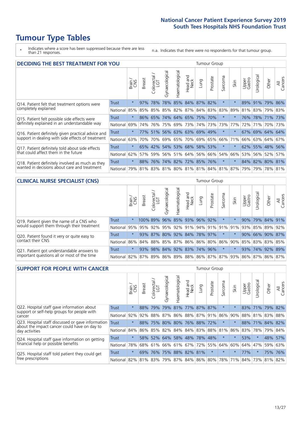# **Tumour Type Tables**

\* Indicates where a score has been suppressed because there are less than 21 responses.

n.a. Indicates that there were no respondents for that tumour group.

| <b>DECIDING THE BEST TREATMENT FOR YOU</b>         |              |         |               |                       |                |                |                        |                             | <b>Tumour Group</b> |                                     |         |                 |                 |             |                |
|----------------------------------------------------|--------------|---------|---------------|-----------------------|----------------|----------------|------------------------|-----------------------------|---------------------|-------------------------------------|---------|-----------------|-----------------|-------------|----------------|
|                                                    |              | Brain   | <b>Breast</b> | olorectal<br>LGT<br>Ũ | Gynaecological | Haematological | ad and<br>Neck<br>Head | Lung                        | Prostate            | Sarcoma                             | Skin    | Upper<br>Gastro | Jrological      | Other       | All<br>Cancers |
| Q14. Patient felt that treatment options were      | <b>Trust</b> | $\star$ | 97%           | 78%                   | 78%            |                |                        | 85% 84% 87%                 | 82%                 | $\star$                             |         | 89%             | 91%             | 79%         | 86%            |
| completely explained                               | National     | 85%     | 85%           | 85%                   |                |                |                        | 85% 82% 87% 84% 83% 83%     |                     |                                     | 89%     | 81%             | 83%             | 79% 83%     |                |
| Q15. Patient felt possible side effects were       | Trust        | $\star$ |               |                       |                |                |                        | 86% 65% 74% 64% 65% 75% 70% |                     | $\star$                             |         |                 | 76% 78% 71% 73% |             |                |
| definitely explained in an understandable way      | National     | 69%     | 74%           | 76%                   |                | 75% 69% 73%    |                        |                             | 74% 73%             | 73%                                 | 77%     | 72%             | 71%             | 70% 73%     |                |
| Q16. Patient definitely given practical advice and | Trust        | $\star$ |               |                       |                |                |                        | 77% 51% 56% 63% 63% 69% 49% |                     | $\star$                             | $\star$ |                 | 67% 69% 64% 64% |             |                |
| support in dealing with side effects of treatment  | National     | 63%     | 70%           | 70%                   |                |                |                        | 69% 65% 70% 69% 65%         |                     | 66%                                 | 71%     | 66%             | 63% 64% 67%     |             |                |
| Q17. Patient definitely told about side effects    | Trust        | $\star$ |               |                       |                |                |                        | 65% 42% 54% 53% 68% 58% 53% |                     | $\star$                             | $\star$ |                 | 62% 55% 48% 56% |             |                |
| that could affect them in the future               | National     | 62%     | 57%           | 59%                   |                |                |                        | 56% 51% 64% 56% 66%         |                     | 54%                                 | 66%     | 53%             |                 | 56% 52%     | 57%            |
| Q18. Patient definitely involved as much as they   | Trust        | $\star$ | 88%           | 76%                   |                |                |                        | 74% 82% 72% 85% 76%         |                     | $\star$                             |         |                 | 84% 82% 80% 81% |             |                |
| wanted in decisions about care and treatment       | National     | 79%     |               |                       |                |                |                        |                             |                     | 81% 83% 81% 80% 81% 81% 84% 81% 87% |         | 79%             |                 | 79% 78% 81% |                |

### **CLINICAL NURSE SPECIALIST (CNS)** Tumour Group

|                                             |              | Brain   | <b>Breast</b>                               | olorectal<br>LGT<br>$\cup$ | aecologica<br>Ğ | $\overline{\sigma}$<br>Ü<br>aematologi | Head and<br>Neck | Lung | Prostate | Sarcoma  | Skin    | Upper<br>Gastro | $\sigma$<br>rologica | Other                                                                       | All<br>ancers<br>$\cup$ |
|---------------------------------------------|--------------|---------|---------------------------------------------|----------------------------|-----------------|----------------------------------------|------------------|------|----------|----------|---------|-----------------|----------------------|-----------------------------------------------------------------------------|-------------------------|
| Q19. Patient given the name of a CNS who    | Trust        | $\star$ |                                             |                            | 100% 89% 96%    |                                        | 85% 93% 96% 92%  |      |          | $^\star$ |         | 90%             |                      | 79% 84% 91%                                                                 |                         |
| would support them through their treatment  | National     |         |                                             |                            |                 |                                        |                  |      |          |          |         |                 |                      | 95% 95% 92% 95% 92% 91% 94% 91% 91% 91% 93% 85% 89%                         | 92%                     |
| Q20. Patient found it very or quite easy to | <b>Trust</b> | $\star$ |                                             |                            | 93% 87% 80%     |                                        | 92% 84% 78% 97%  |      |          | $\ast$   | $\star$ | 90%             |                      | 66% 90% 87%                                                                 |                         |
| contact their CNS                           | National     |         | 86% 84% 88% 85% 87% 86% 86% 80% 86% 90% 85% |                            |                 |                                        |                  |      |          |          |         |                 |                      | 83% 83%                                                                     | 85%                     |
| Q21. Patient got understandable answers to  | <b>Trust</b> | $\star$ | 93%                                         | 98%                        | 84%             |                                        | 92% 83% 74% 96%  |      |          | $\ast$   | $\star$ | 93%             |                      | 74% 92%                                                                     | 89%                     |
| important questions all or most of the time | National     |         |                                             |                            |                 |                                        |                  |      |          |          |         |                 |                      | 82%   87%   89%   86%   89%   88%   86%   87%   87%   93%   86%   87%   86% | 87%                     |

| <b>SUPPORT FOR PEOPLE WITH CANCER</b>                                                             |              |         |                                 |                            |                |                         |                        |                 | Tumour Group |                         |                         |                 |           |             |                |
|---------------------------------------------------------------------------------------------------|--------------|---------|---------------------------------|----------------------------|----------------|-------------------------|------------------------|-----------------|--------------|-------------------------|-------------------------|-----------------|-----------|-------------|----------------|
|                                                                                                   |              | Brain   | <b>Breast</b>                   | olorectal<br>LGT<br>$\cup$ | Gynaecological | Haematological          | ad and<br>Neck<br>Head | Lung            | Prostate     | arcoma<br>vĀ            | Skin                    | Upper<br>Gastro | Jrologica | Other       | All<br>Cancers |
| Q22. Hospital staff gave information about<br>support or self-help groups for people with         | <b>Trust</b> | $\star$ | 88%                             | 79%                        | 79%            |                         |                        | 81% 77% 87%     | 87%          | $\star$                 |                         | 83%             | 71%       |             | 79% 82%        |
| cancer                                                                                            | National     | 92%     |                                 | 92% 88%                    |                |                         |                        |                 |              | 87% 86% 88% 87% 91% 86% | 90%                     | 88%             |           | 81% 83% 88% |                |
| Q23. Hospital staff discussed or gave information<br>about the impact cancer could have on day to | <b>Trust</b> | $\star$ | 88%                             | 75%                        | 80%            |                         |                        | 80% 76% 88% 72% |              | $\star$                 |                         |                 | 88% 71%   | 84% 82%     |                |
| day activities                                                                                    | National     | 84%     |                                 | 86% 85%                    |                | 82% 84% 84% 83% 88% 81% |                        |                 |              |                         | 86%                     | 83%             | 78%       | 79%         | 84%            |
| Q24. Hospital staff gave information on getting                                                   | Trust        | $\star$ |                                 | 58% 52%                    | 64%            |                         | 58% 48%                | 78% 48%         |              | $\ast$                  | $\star$                 | 53%             | $^\star$  | 48%         | 57%            |
| financial help or possible benefits                                                               | National     | 78%     |                                 | 68% 61%                    |                | 66% 61% 67%             |                        |                 | 72% 55%      | 64% 60%                 |                         | 64%             | 47%       | 59%         | 63%            |
| Q25. Hospital staff told patient they could get                                                   | Trust        | $\star$ | 69%                             | 76%                        | 75%            |                         | 88% 82% 81%            |                 | $\star$      | $\star$                 | $\star$                 | 77%             | $\star$   | 75%         | 76%            |
| free prescriptions                                                                                | National     |         | 82% 81% 83% 79% 87% 84% 86% 80% |                            |                |                         |                        |                 |              |                         | 78% 71% 84% 73% 81% 82% |                 |           |             |                |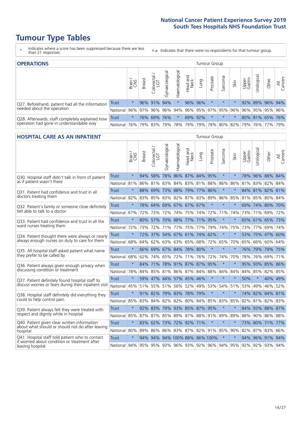# **Tumour Type Tables**

- \* Indicates where a score has been suppressed because there are less than 21 responses.
- n.a. Indicates that there were no respondents for that tumour group.

| <b>OPERATIONS</b>                                |              |              |               |                   |                   |               |                  |             | <b>Tumour Group</b> |         |      |                 |            |                                                 |                |
|--------------------------------------------------|--------------|--------------|---------------|-------------------|-------------------|---------------|------------------|-------------|---------------------|---------|------|-----------------|------------|-------------------------------------------------|----------------|
|                                                  |              | Brain<br>CNS | <b>Breast</b> | Colorectal<br>LGT | ক<br>Gynaecologic | Haematologica | Head and<br>Neck | <b>Gunn</b> | Prostate            | Sarcoma | Skin | Upper<br>Gastro | Urological | Other                                           | All<br>Cancers |
| Q27. Beforehand, patient had all the information | <b>Trust</b> | $\star$      |               | 96% 91%           | 94%               | $\star$       |                  | 96% 96%     | $\star$             | $\star$ |      |                 |            | 92% 89% 96% 94%                                 |                |
| needed about the operation                       | National     | 96%          | 97%           | 96%               |                   |               |                  |             |                     |         |      |                 |            | 96% 94% 96% 95% 97% 95% 96% 96% 95% 95% 95% 96% |                |
| Q28. Afterwards, staff completely explained how  | <b>Trust</b> | $\star$      |               | 76% 69%           | 76%               | $\star$       |                  | 69% 92%     | $\star$             | $\star$ |      |                 |            | 80% 81% 65% 76%                                 |                |
| operation had gone in understandable way         | National     | 76%          |               | 79% 83%           |                   |               | 79%   78%   79%  |             |                     |         |      |                 |            | 79% 78% 80% 82% 79% 76% 77%                     | 79%            |

### **HOSPITAL CARE AS AN INPATIENT** Tumour Group

|                                                                                                  |              | Brain   | Breast | Colorectal /<br>LGT | Gynaecological | Haematological              | Head and<br>Neck | Lung    | Prostate              | Sarcoma | Skin                                                | Upper<br>Gastro | Urological | Other           | All<br>Cancers |
|--------------------------------------------------------------------------------------------------|--------------|---------|--------|---------------------|----------------|-----------------------------|------------------|---------|-----------------------|---------|-----------------------------------------------------|-----------------|------------|-----------------|----------------|
| Q30. Hospital staff didn't talk in front of patient                                              | <b>Trust</b> | $\star$ | 94%    | 58%                 | 78%            | 86% 87% 84%                 |                  |         | 95%                   | $\star$ | $\star$                                             |                 |            | 78% 96% 88% 84% |                |
| as if patient wasn't there                                                                       | National     | 81%     | 86%    | 81%                 | 83%            | 84%                         |                  | 83% 81% | 88%                   | 86%     | 86%                                                 |                 | 81% 83%    | 82%             | 84%            |
| 031. Patient had confidence and trust in all                                                     | Trust        | $\star$ | 88%    | 69%                 | 73%            | 88% 79% 77%                 |                  |         | 86%                   | $\star$ | $\star$                                             |                 |            | 84% 81% 82% 81% |                |
| doctors treating them                                                                            | National     | 82%     |        | 83% 85%             |                | 83% 82%                     |                  | 87% 83% | 89%                   | 86%     | 85%                                                 |                 |            | 81% 85% 80% 84% |                |
| Q32. Patient's family or someone close definitely                                                | <b>Trust</b> | $\star$ | 78%    | 64%                 |                | 69% 67% 67% 67%             |                  |         | $\star$               | $\star$ | $\star$                                             |                 |            | 69% 74% 80% 70% |                |
| felt able to talk to a doctor                                                                    | National     | 67%     | 72%    | 73%                 |                | 72% 74%                     |                  | 75% 74% | 72%                   | 71%     | 74%                                                 |                 | 73% 71%    | 69% 72%         |                |
| Q33. Patient had confidence and trust in all the                                                 | <b>Trust</b> | $\star$ |        |                     |                | 80% 57% 70% 88% 77% 71% 95% |                  |         |                       | $\star$ | $\ast$                                              |                 |            | 65% 61% 65% 73% |                |
| ward nurses treating them                                                                        | National     | 72%     | 73%    | 72%                 |                | 71% 77% 75% 77%             |                  |         | 79%                   | 74%     | 75%                                                 |                 | 73% 77%    | 69%             | 74%            |
| Q34. Patient thought there were always or nearly                                                 | <b>Trust</b> | $\star$ | 72%    | 37%                 | 54%            | 67% 61% 74%                 |                  |         | 62%                   | $\star$ | $\star$                                             | 53%             | 75% 47%    |                 | 60%            |
| always enough nurses on duty to care for them                                                    | National     | 68%     | 64%    | 62%                 | 63%            | 63%                         |                  | 65% 68% | 72%                   | 65%     | 70%                                                 | 65%             | 66%        | 60%             | 64%            |
| Q35. All hospital staff asked patient what name                                                  | Trust        | $\star$ |        |                     |                | 66% 69% 67% 84% 78% 80%     |                  |         | $\star$               | $\star$ | $\star$                                             |                 |            | 76% 79% 79% 75% |                |
| they prefer to be called by                                                                      | National     | 68%     | 62%    | 74% 65%             |                | 72%                         | 71%              | 76%     | 72%                   | 74%     | 70%                                                 | 78%             | 76%        | 69%             | 71%            |
| Q36. Patient always given enough privacy when                                                    | Trust        | $\star$ | 84%    | 71%                 |                | 78% 91% 87% 87%             |                  |         | 95%                   | $\star$ | $\star$                                             | 95%             |            | 93% 85% 86%     |                |
| discussing condition or treatment                                                                | National     | 78%     |        |                     |                | 84% 85% 81% 86% 87% 84%     |                  |         | 88%                   | 84%     | 84%                                                 |                 | 84% 85%    | 82% 85%         |                |
| Q37. Patient definitely found hospital staff to                                                  | <b>Trust</b> | $\star$ | 59%    | 47%                 |                | 44% 57% 45%                 |                  | 46%     | $\star$               | $\star$ | $\star$                                             | 50%             | $\star$    | 40%             | 49%            |
| discuss worries or fears during their inpatient visit                                            | National     | 45%     |        |                     |                | 51% 55% 51% 56% 52% 49%     |                  |         | 53%                   |         | 54% 51%                                             | 53%             | 49%        | 46% 52%         |                |
| Q38. Hospital staff definitely did everything they                                               | Trust        | $\star$ |        | 91% 82%             |                | 79% 83% 78% 79%             |                  |         | $\star$               | $\star$ | $\ast$                                              |                 |            | 74% 82% 84% 81% |                |
| could to help control pain                                                                       | National     | 85%     | 83%    | 84%                 | 82%            | 82%                         | 80%              | 84%     | 85%                   | 83%     | 85%                                                 | 82%             | 81%        | 82%             | 83%            |
| Q39. Patient always felt they were treated with                                                  | Trust        | $\star$ | 92%    | 83%                 |                | 79% 93% 85% 87% 95%         |                  |         |                       | $\star$ | $\star$                                             |                 |            | 84% 93% 88% 87% |                |
| respect and dignity while in hospital                                                            | National 85% |         |        | 87% 87%             |                |                             |                  |         | 85% 89% 87% 88% 91%   | 89%     | 89%                                                 |                 |            | 88% 90% 86% 88% |                |
| Q40. Patient given clear written information<br>about what should or should not do after leaving | Trust        | $\star$ | 83%    | 62%                 | 73%            | 72% 92%                     |                  | 71%     | $\star$               | $\star$ | $\star$                                             | 73%             | 80% 71%    |                 | 77%            |
| hospital                                                                                         | National 80% |         | 89%    | 86%                 |                | 86% 83% 87% 82%             |                  |         |                       | 91% 85% | 90%                                                 |                 | 82% 87%    | 83%             | 86%            |
| Q41. Hospital staff told patient who to contact<br>if worried about condition or treatment after | <b>Trust</b> | $\star$ | 94%    | 94%                 |                |                             |                  |         | 94% 100% 88% 86% 100% | $\star$ |                                                     |                 |            | 94% 96% 91% 94% |                |
| leaving hospital                                                                                 | National 94% |         |        |                     |                |                             |                  |         |                       |         | 95% 95% 93% 96% 93% 92% 96% 94% 95% 92% 92% 93% 94% |                 |            |                 |                |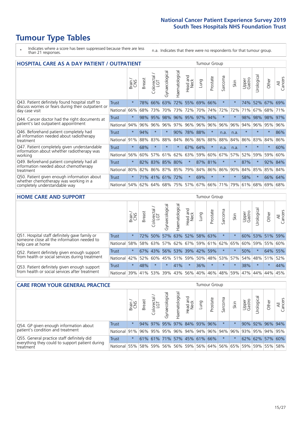# **Tumour Type Tables**

- \* Indicates where a score has been suppressed because there are less than 21 responses.
- n.a. Indicates that there were no respondents for that tumour group.

| <b>HOSPITAL CARE AS A DAY PATIENT / OUTPATIENT</b>                                   |              |         |               |                 |                |                |                        |         | <b>Tumour Group</b> |                          |         |                 |            |         |                |
|--------------------------------------------------------------------------------------|--------------|---------|---------------|-----------------|----------------|----------------|------------------------|---------|---------------------|--------------------------|---------|-----------------|------------|---------|----------------|
|                                                                                      |              | Brain   | <b>Breast</b> | ╮<br>Colorectal | Gynaecological | Haematological | ad and<br>Neck<br>Head | Lung    | Prostate            | arcoma<br>$\overline{ }$ | Skin    | Upper<br>Gastro | Jrological | Other   | All<br>Cancers |
| Q43. Patient definitely found hospital staff to                                      | Trust        | $\star$ | 78%           | 66%             | 63%            | 72%            | 55%                    | 69%     | 66%                 | $\star$                  |         | 74%             | 52%        | 67%     | 69%            |
| discuss worries or fears during their outpatient or<br>day case visit                | National     | 66%     | 68%           | 73%             | 70%            | 73%            | 72%                    | 70%     | 74%                 | 72%                      | 72%     | 71%             | 67%        | 68%     | 71%            |
| Q44. Cancer doctor had the right documents at                                        | Trust        | $\star$ | 98%           | 95%             | 98%            | 96%            |                        | 95% 97% | 94%                 | $\star$                  |         | 98%             | 98%        | 98%     | 97%            |
| patient's last outpatient appointment                                                | National     | 94%     | 96%           | 96%             | 96%            | 97%            |                        | 96% 96% | 96%                 | 96%                      | 96%     | 94%             | 96%        | 95%     | 96%            |
| Q46. Beforehand patient completely had                                               | Trust        | $\star$ | 94%           | $\star$         | $\star$        | 90%            | 78% 88%                |         | $\star$             | n.a.                     | n.a.    | $\star$         | $\star$    | $\star$ | 86%            |
| all information needed about radiotherapy<br>treatment                               | National     | 91%     | 88%           | 83%             | 88%            | 84%            | 86%                    | 86%     | 88%                 | 88%                      | 84%     | 86%             | 83%        | 84%     | 86%            |
| Q47. Patient completely given understandable                                         | Trust        | $\star$ | 68%           | $\star$         |                | $\ast$         |                        | 67% 64% | $\star$             | n.a.                     | n.a.    | $\star$         |            | $\ast$  | 60%            |
| information about whether radiotherapy was<br>working                                | National     | 56%     | 60%           | 57%             | 61%            | 62%            | 63%                    | 59%     | 60%                 | 67%                      | 57%     | 52%             | 59%        | 59%     | 60%            |
| Q49. Beforehand patient completely had all                                           | <b>Trust</b> | $\star$ | 82%           | 83% 85%         |                | 80%            | $\star$                | 87%     | 81%                 | $\star$                  | $\star$ | 87%             | $\star$    | 92% 84% |                |
| information needed about chemotherapy<br>treatment                                   | National     | 80%     | 82%           | 86%             | 87%            | 85%            | 79%                    | 84% 86% |                     | 86%                      | 90%     | 84%             | 85%        | 85%     | 84%            |
| Q50. Patient given enough information about<br>whether chemotherapy was working in a | Trust        | $\star$ | 71%           | 41%             | 61%            | 72%            | $\star$                | 69%     | $\star$             | $\star$                  | $\star$ | 58%             | $\star$    | 66%     | 64%            |
| completely understandable way                                                        | National     | 54%     | 62%           | 64%             | 68%            | 75%            |                        | 57% 67% | 66%                 | 71%                      | 79%     | 61%             | 68%        | 69%     | 68%            |

#### **HOME CARE AND SUPPORT** Tumour Group

|                                                                                                                   |              | Brain   | <b>Breast</b> | olorectal<br>LGT<br>Ü | त्त<br>Gynaecologic | Haematological | Head and<br>Neck | Lung                                    | Prostate | Sarcoma | Skin    | Upper<br>Gastro | Urological  | Other   | All<br>Cancers |
|-------------------------------------------------------------------------------------------------------------------|--------------|---------|---------------|-----------------------|---------------------|----------------|------------------|-----------------------------------------|----------|---------|---------|-----------------|-------------|---------|----------------|
| Q51. Hospital staff definitely gave family or<br>someone close all the information needed to<br>help care at home | <b>Trust</b> | $\star$ |               | 72% 50%               | 57%                 |                | 63% 52%          | 58% 63%                                 |          |         |         | 60%             |             | 53% 51% | 59%            |
|                                                                                                                   | National     | 58%     |               | 58% 63%               |                     |                |                  | 57% 62% 67% 59% 61% 62% 65%             |          |         |         | 60%             |             | 59% 55% | 60%            |
| Q52. Patient definitely given enough support<br>from health or social services during treatment                   | Trust        | $\star$ |               | 67% 43%               |                     |                |                  | 56% 53% 39% 42% 59%                     |          | $\ast$  |         | 50%             | $\star$     | 64%     | 55%            |
|                                                                                                                   | National     | 42%     | 52%           | 60%                   |                     |                |                  | 45%   51%   59%   50%   48%   53%   57% |          |         |         |                 | 54% 48% 51% |         | 52%            |
| Q53. Patient definitely given enough support<br>from health or social services after treatment                    | Trust        | $\star$ | 48%           |                       | $\star$             | 41%            | $\star$          | 36%                                     | $\star$  | $\star$ | $\star$ | 38%             | $\star$     | $\star$ | 44%            |
|                                                                                                                   | National     | 39%     | 41% 53%       |                       | 39%                 | $ 43\% $       | 56%              | 40%                                     | 46%      |         | 48% 59% | 47%             | 44%         | 44%     | 45%            |

| <b>CARE FROM YOUR GENERAL PRACTICE</b>                                                                     |                                                  |         |               |                             |                |                | Tumour Group     |      |          |         |      |                                                                 |                 |       |                |
|------------------------------------------------------------------------------------------------------------|--------------------------------------------------|---------|---------------|-----------------------------|----------------|----------------|------------------|------|----------|---------|------|-----------------------------------------------------------------|-----------------|-------|----------------|
|                                                                                                            |                                                  | Brain,  | <b>Breast</b> | Colorectal<br>LGT           | Gynaecological | Haematological | Head and<br>Neck | Lung | Prostate | Sarcoma | Skin | Upper<br>Gastro                                                 | Urological      | Other | All<br>Cancers |
| Q54. GP given enough information about<br>patient's condition and treatment                                | Trust                                            | $\star$ |               | 94% 97% 95% 97% 84% 93% 96% |                |                |                  |      |          | $\star$ |      |                                                                 | 90% 92% 96% 94% |       |                |
|                                                                                                            | National 91% 96% 95% 95% 96% 94% 94% 96% 94% 96% |         |               |                             |                |                |                  |      |          |         |      |                                                                 | 93% 95% 94% 95% |       |                |
| Q55. General practice staff definitely did<br>everything they could to support patient during<br>treatment | <b>Trust</b>                                     | $\star$ |               | 61% 61% 71% 57% 45% 61% 66% |                |                |                  |      |          | $\star$ |      |                                                                 | 62% 62% 57% 60% |       |                |
|                                                                                                            | National                                         | 55%     |               | 58% 59%                     |                |                |                  |      |          |         |      | 56%   56%   59%   56%   64%   56%   65%   59%   59%   55%   58% |                 |       |                |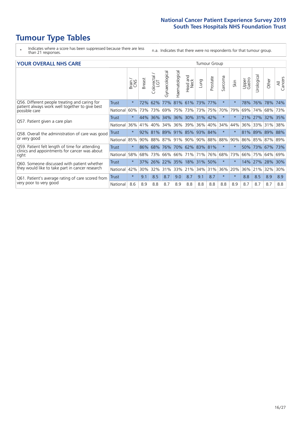# **Tumour Type Tables**

- \* Indicates where a score has been suppressed because there are less than 21 responses.
- n.a. Indicates that there were no respondents for that tumour group.

### **YOUR OVERALL NHS CARE** THE TWO CONTROLLER THE THE THROUP CHANGE THE TUMOUR GROUP

|                                                                                                          |              | Brain   | <b>Breast</b> | olorectal<br>LGT<br>Û | Gynaecological | Haematological | aad and<br>Neck<br>Head | Lung    | Prostate | arcoma<br>$\sqrt{ }$ | Skin    | Upper<br>Gastro | $\overline{c}$<br>Urologia | Other       | All<br>Cancers |
|----------------------------------------------------------------------------------------------------------|--------------|---------|---------------|-----------------------|----------------|----------------|-------------------------|---------|----------|----------------------|---------|-----------------|----------------------------|-------------|----------------|
| Q56. Different people treating and caring for                                                            | Trust        | $\star$ | 72%           | 62%                   | 77%            | 81%            | 61%                     | 73%     | 77%      | $\star$              | $\star$ | 78%             | 76%                        | 78%         | 74%            |
| patient always work well together to give best<br>possible care                                          | National     | 60%     |               | 73% 73%               | 69%            | 75%            | 73%                     | 73% 75% |          | 70%                  | 79%     | 69%             | 74%                        | 68%         | 73%            |
| Q57. Patient given a care plan                                                                           | <b>Trust</b> | $\star$ | 44%           | 36%                   |                |                | 34% 36% 30% 31% 42%     |         |          | $\star$              | $\ast$  | 21% 27%         |                            | 32% 35%     |                |
|                                                                                                          | National     | 36%     | 41%           | 40%                   | 34%            | 36%            | 39%                     | 36%     | 40%      | 34%                  | 44%     | 36%             | 33%                        | 31%         | 38%            |
| Q58. Overall the administration of care was good<br>or very good                                         | Trust        | $\star$ |               | 92% 81%               |                |                | 89% 91% 85% 93% 84%     |         |          | $\star$              |         | 81%             | 89%                        | 89% 88%     |                |
|                                                                                                          | National     | 85%     |               | 90% 88%               |                | 87% 91%        | 90%                     |         | 90% 88%  | 88%                  | 90%     | 86%             |                            | 85% 87% 89% |                |
| Q59. Patient felt length of time for attending<br>clinics and appointments for cancer was about<br>right | <b>Trust</b> | $\star$ | $86\%$        | 68%                   |                |                | 76% 70% 62% 83% 81%     |         |          | $\star$              | $\star$ | 50%             | 73%                        | $ 67\% $    | 73%            |
|                                                                                                          | National     | 58%     | 68%           | 73%                   | 66%            | 66%            | 71%                     | 71%     | 76%      | 68%                  | 73%     | 66%             | 75%                        | 64%         | 69%            |
| Q60. Someone discussed with patient whether<br>they would like to take part in cancer research           | Trust        | $\star$ | 37%           | 26%                   | 22% 35%        |                | 18%                     | 31% 50% |          | $\star$              | $\star$ | 14%             | 27%                        | 28%         | 30%            |
|                                                                                                          | National     | 42%     | 30%           | 32%                   | 31%            | 33%            | 21%                     | 34%     | 31%      | 36%                  | 20%     | 36%             | 21%                        | 32%         | 30%            |
| Q61. Patient's average rating of care scored from<br>very poor to very good                              | Trust        | $\star$ | 9.1           | 8.5                   | 8.7            | 9.0            | 8.7                     | 9.1     | 8.7      | $\star$              | $\ast$  | 8.8             | 8.5                        | 8.9         | 8.9            |
|                                                                                                          | National     | 8.6     | 8.9           | 8.8                   | 8.7            | 8.9            | 8.8                     | 8.8     | 8.8      | 8.8                  | 8.9     | 8.7             | 8.7                        | 8.7         | 8.8            |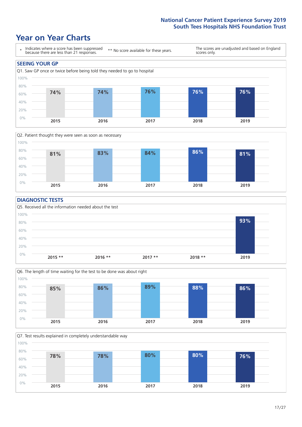### **Year on Year Charts**





### **DIAGNOSTIC TESTS**





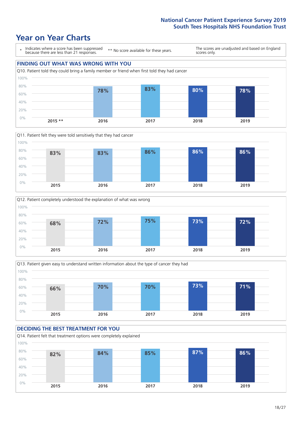







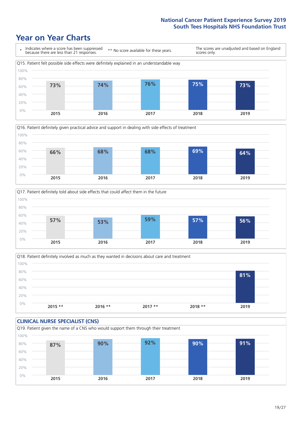





Q18. Patient definitely involved as much as they wanted in decisions about care and treatment  $0%$ 20% 40% 60% 80% 100% **2015 \*\* 2016 \*\* 2017 \*\* 2018 \*\* 2019 81%**

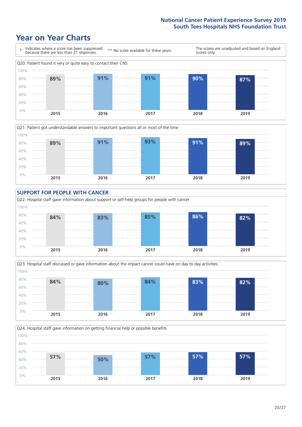







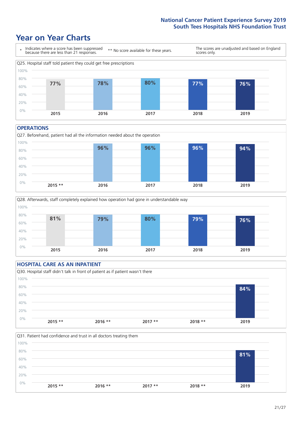### **Year on Year Charts**



#### **OPERATIONS**





### **HOSPITAL CARE AS AN INPATIENT** Q30. Hospital staff didn't talk in front of patient as if patient wasn't there 0% 20% 40% 60% 80% 100% **2015 \*\* 2016 \*\* 2017 \*\* 2018 \*\* 2019 84%**

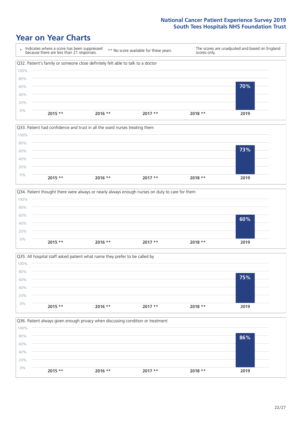







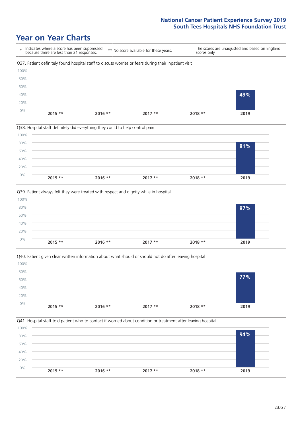







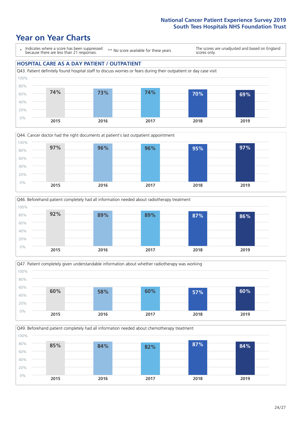







Q49. Beforehand patient completely had all information needed about chemotherapy treatment

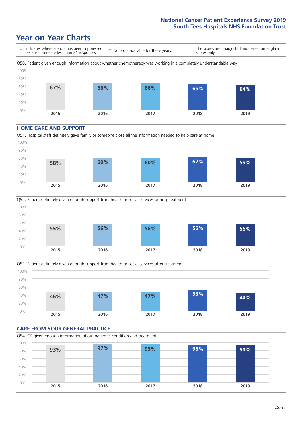### **Year on Year Charts**



#### **HOME CARE AND SUPPORT**







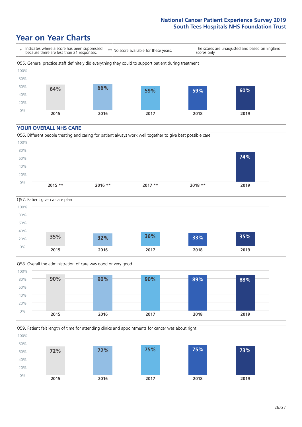### **Year on Year Charts**



#### **YOUR OVERALL NHS CARE**







Q59. Patient felt length of time for attending clinics and appointments for cancer was about right 0% 20% 40% 60% 80% 100% **2015 2016 2017 2018 2019 72% 72% 75% 75% 73%**